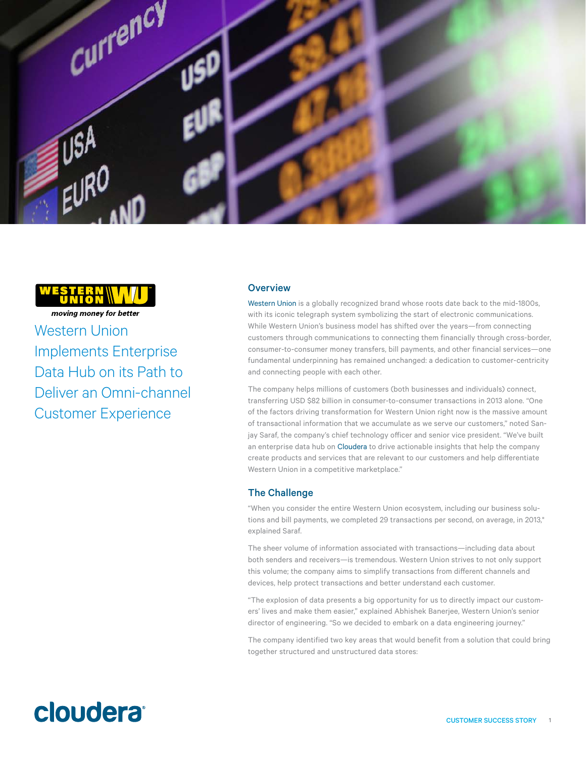



moving money for better Western Union Implements Enterprise Data Hub on its Path to Deliver an Omni-channel Customer Experience

# **Overview**

[Western Union](https://www.westernunion.com/us/en/home.html) is a globally recognized brand whose roots date back to the mid-1800s, with its iconic telegraph system symbolizing the start of electronic communications. While Western Union's business model has shifted over the years—from connecting customers through communications to connecting them financially through cross-border, consumer-to-consumer money transfers, bill payments, and other financial services—one fundamental underpinning has remained unchanged: a dedication to customer-centricity and connecting people with each other.

The company helps millions of customers (both businesses and individuals) connect, transferring USD \$82 billion in consumer-to-consumer transactions in 2013 alone. "One of the factors driving transformation for Western Union right now is the massive amount of transactional information that we accumulate as we serve our customers," noted Sanjay Saraf, the company's chief technology officer and senior vice president. "We've built an enterprise data hub on [Cloudera](http://www.cloudera.com/) to drive actionable insights that help the company create products and services that are relevant to our customers and help differentiate Western Union in a competitive marketplace."

## The Challenge

"When you consider the entire Western Union ecosystem, including our business solutions and bill payments, we completed 29 transactions per second, on average, in 2013," explained Saraf.

The sheer volume of information associated with transactions—including data about both senders and receivers—is tremendous. Western Union strives to not only support this volume; the company aims to simplify transactions from different channels and devices, help protect transactions and better understand each customer.

"The explosion of data presents a big opportunity for us to directly impact our customers' lives and make them easier," explained Abhishek Banerjee, Western Union's senior director of engineering. "So we decided to embark on a data engineering journey."

The company identified two key areas that would benefit from a solution that could bring together structured and unstructured data stores:

# cloudera<sup>®</sup>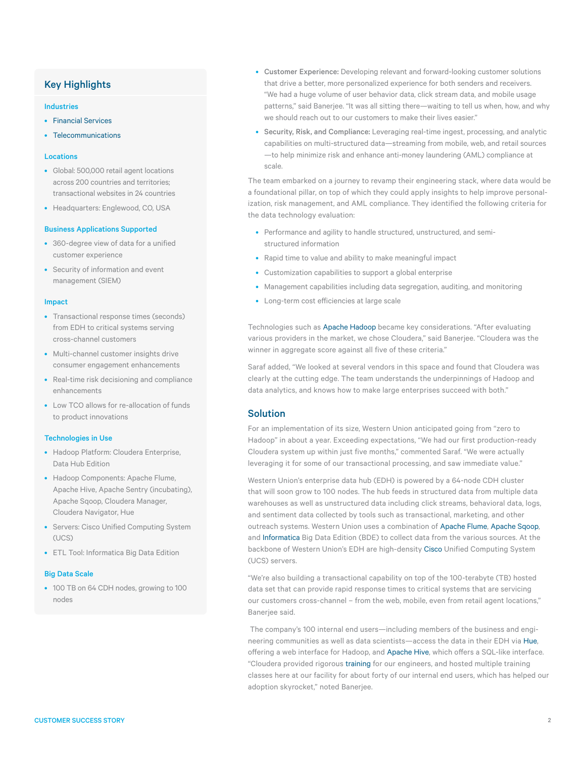# Key Highlights

#### Industries

- [Financial Services](http://www.cloudera.com/content/cloudera/en/solutions/industries/financial-services.html)
- [Telecommunications](http://www.cloudera.com/content/cloudera/en/solutions/industries/telecommunications.html)

## Locations

- Global: 500,000 retail agent locations across 200 countries and territories; transactional websites in 24 countries
- Headquarters: Englewood, CO, USA

#### Business Applications Supported

- 360-degree view of data for a unified customer experience
- Security of information and event management (SIEM)

#### Impact

- Transactional response times (seconds) from EDH to critical systems serving cross-channel customers
- Multi-channel customer insights drive consumer engagement enhancements
- Real-time risk decisioning and compliance enhancements
- Low TCO allows for re-allocation of funds to product innovations

#### Technologies in Use

- Hadoop Platform: Cloudera Enterprise, Data Hub Edition
- Hadoop Components: Apache Flume, Apache Hive, Apache Sentry (incubating), Apache Sqoop, Cloudera Manager, Cloudera Navigator, Hue
- Servers: Cisco Unified Computing System (UCS)
- ETL Tool: Informatica Big Data Edition

#### Big Data Scale

• 100 TB on 64 CDH nodes, growing to 100 nodes

- Customer Experience: Developing relevant and forward-looking customer solutions that drive a better, more personalized experience for both senders and receivers. "We had a huge volume of user behavior data, click stream data, and mobile usage patterns," said Banerjee. "It was all sitting there—waiting to tell us when, how, and why we should reach out to our customers to make their lives easier."
- Security, Risk, and Compliance: Leveraging real-time ingest, processing, and analytic capabilities on multi-structured data—streaming from mobile, web, and retail sources —to help minimize risk and enhance anti-money laundering (AML) compliance at scale.

The team embarked on a journey to revamp their engineering stack, where data would be a foundational pillar, on top of which they could apply insights to help improve personalization, risk management, and AML compliance. They identified the following criteria for the data technology evaluation:

- Performance and agility to handle structured, unstructured, and semistructured information
- Rapid time to value and ability to make meaningful impact
- Customization capabilities to support a global enterprise
- Management capabilities including data segregation, auditing, and monitoring
- Long-term cost efficiencies at large scale

Technologies such as Apache Hadoop became key considerations. "After evaluating various providers in the market, we chose Cloudera," said Banerjee. "Cloudera was the winner in aggregate score against all five of these criteria."

Saraf added, "We looked at several vendors in this space and found that Cloudera was clearly at the cutting edge. The team understands the underpinnings of Hadoop and data analytics, and knows how to make large enterprises succeed with both."

# Solution

For an implementation of its size, Western Union anticipated going from "zero to Hadoop" in about a year. Exceeding expectations, "We had our first production-ready Cloudera system up within just five months," commented Saraf. "We were actually leveraging it for some of our transactional processing, and saw immediate value."

Western Union's enterprise data hub (EDH) is powered by a 64-node CDH cluster that will soon grow to 100 nodes. The hub feeds in structured data from multiple data warehouses as well as unstructured data including click streams, behavioral data, logs, and sentiment data collected by tools such as transactional, marketing, and other outreach systems. Western Union uses a combination of [Apache Flume](http://flume.apache.org), [Apache Sqoop,](http://sqoop.apache.org) and [Informatica](http://www.informatica.com/us/products/big-data/informatica-big-data-edition/#fbid=ihbF04eFZFQ) Big Data Edition (BDE) to collect data from the various sources. At the backbone of Western Union's EDH are high-density [Cisco](http://www.cisco.com/c/en/us/products/servers-unified-computing/index.html) Unified Computing System (UCS) servers.

"We're also building a transactional capability on top of the 100-terabyte (TB) hosted data set that can provide rapid response times to critical systems that are servicing our customers cross-channel – from the web, mobile, even from retail agent locations," Banerjee said.

 The company's 100 internal end users—including members of the business and engineering communities as well as data scientists—access the data in their EDH via [Hue](http://gethue.com), offering a web interface for Hadoop, and [Apache Hive](https://hive.apache.org), which offers a SQL-like interface. "Cloudera provided rigorous [training](http://www.cloudera.com/content/cloudera/en/training.html) for our engineers, and hosted multiple training classes here at our facility for about forty of our internal end users, which has helped our adoption skyrocket," noted Banerjee.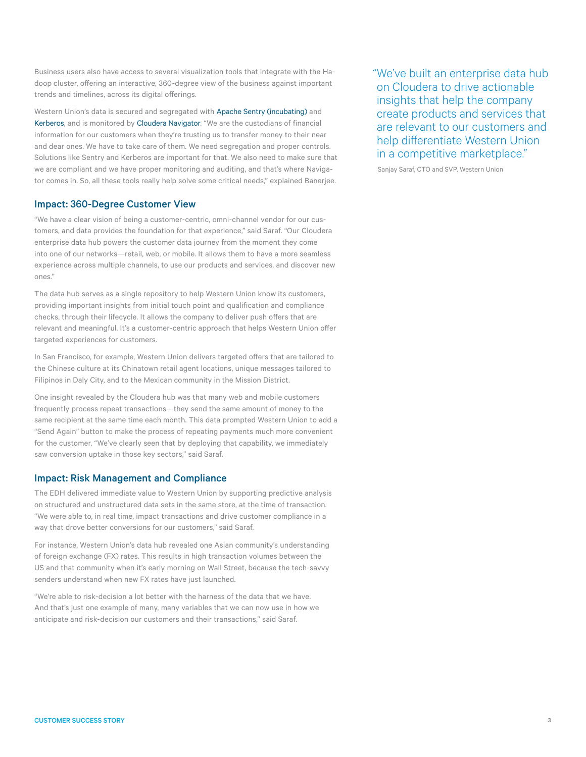Business users also have access to several visualization tools that integrate with the Hadoop cluster, offering an interactive, 360-degree view of the business against important trends and timelines, across its digital offerings.

Western Union's data is secured and segregated with [Apache Sentry \(incubating\)](https://sentry.incubator.apache.org) and [Kerberos,](http://web.mit.edu/kerberos/) and is monitored by [Cloudera Navigator](http://www.cloudera.com/content/cloudera/en/products-and-services/cloudera-enterprise/cloudera-navigator.html). "We are the custodians of financial information for our customers when they're trusting us to transfer money to their near and dear ones. We have to take care of them. We need segregation and proper controls. Solutions like Sentry and Kerberos are important for that. We also need to make sure that we are compliant and we have proper monitoring and auditing, and that's where Navigator comes in. So, all these tools really help solve some critical needs," explained Banerjee.

# Impact: 360-Degree Customer View

"We have a clear vision of being a customer-centric, omni-channel vendor for our customers, and data provides the foundation for that experience," said Saraf. "Our Cloudera enterprise data hub powers the customer data journey from the moment they come into one of our networks—retail, web, or mobile. It allows them to have a more seamless experience across multiple channels, to use our products and services, and discover new ones."

The data hub serves as a single repository to help Western Union know its customers, providing important insights from initial touch point and qualification and compliance checks, through their lifecycle. It allows the company to deliver push offers that are relevant and meaningful. It's a customer-centric approach that helps Western Union offer targeted experiences for customers.

In San Francisco, for example, Western Union delivers targeted offers that are tailored to the Chinese culture at its Chinatown retail agent locations, unique messages tailored to Filipinos in Daly City, and to the Mexican community in the Mission District.

One insight revealed by the Cloudera hub was that many web and mobile customers frequently process repeat transactions—they send the same amount of money to the same recipient at the same time each month. This data prompted Western Union to add a "Send Again" button to make the process of repeating payments much more convenient for the customer. "We've clearly seen that by deploying that capability, we immediately saw conversion uptake in those key sectors," said Saraf.

## Impact: Risk Management and Compliance

The EDH delivered immediate value to Western Union by supporting predictive analysis on structured and unstructured data sets in the same store, at the time of transaction. "We were able to, in real time, impact transactions and drive customer compliance in a way that drove better conversions for our customers," said Saraf.

For instance, Western Union's data hub revealed one Asian community's understanding of foreign exchange (FX) rates. This results in high transaction volumes between the US and that community when it's early morning on Wall Street, because the tech-savvy senders understand when new FX rates have just launched.

"We're able to risk-decision a lot better with the harness of the data that we have. And that's just one example of many, many variables that we can now use in how we anticipate and risk-decision our customers and their transactions," said Saraf.

"We've built an enterprise data hub on Cloudera to drive actionable insights that help the company create products and services that are relevant to our customers and help differentiate Western Union in a competitive marketplace."

Sanjay Saraf, CTO and SVP, Western Union